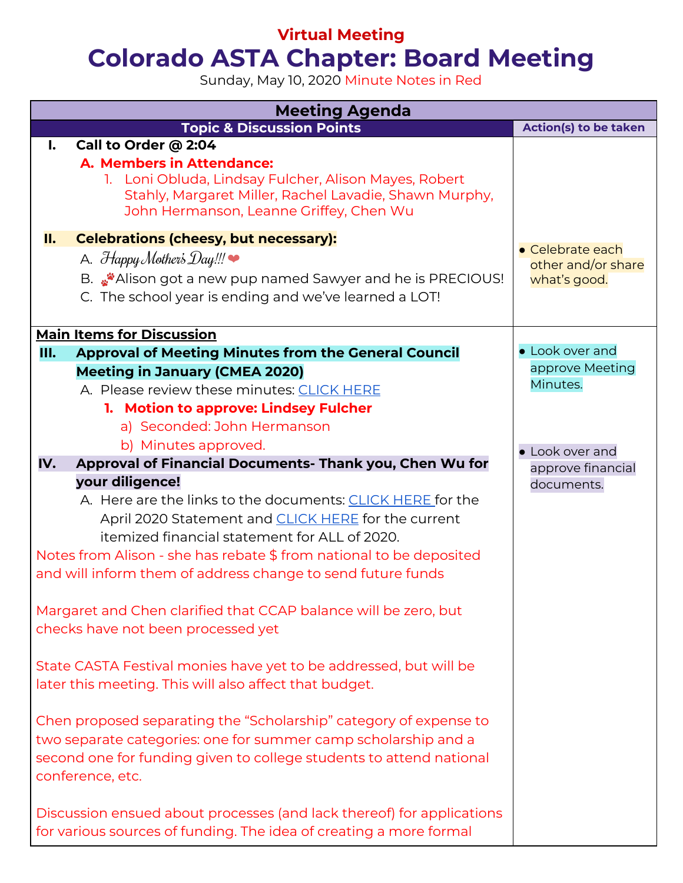# **Virtual Meeting**

# **Colorado ASTA Chapter: Board Meeting**

Sunday, May 10, 2020 Minute Notes in Red

| <b>Meeting Agenda</b>                                                                                                                                                                                                                                                                                                              |                              |  |  |
|------------------------------------------------------------------------------------------------------------------------------------------------------------------------------------------------------------------------------------------------------------------------------------------------------------------------------------|------------------------------|--|--|
| <b>Topic &amp; Discussion Points</b>                                                                                                                                                                                                                                                                                               | <b>Action(s) to be taken</b> |  |  |
| Call to Order @ 2:04<br>$\mathbf{l}$ .<br>A. Members in Attendance:<br>1. Loni Obluda, Lindsay Fulcher, Alison Mayes, Robert<br>Stahly, Margaret Miller, Rachel Lavadie, Shawn Murphy,<br>John Hermanson, Leanne Griffey, Chen Wu                                                                                                  |                              |  |  |
| <b>Celebrations (cheesy, but necessary):</b><br>II.                                                                                                                                                                                                                                                                                | • Celebrate each             |  |  |
| A. $H$ appy Mother's $Day!!!$                                                                                                                                                                                                                                                                                                      | other and/or share           |  |  |
| B. We Alison got a new pup named Sawyer and he is PRECIOUS!<br>C. The school year is ending and we've learned a LOT!                                                                                                                                                                                                               | what's good.                 |  |  |
| <b>Main Items for Discussion</b>                                                                                                                                                                                                                                                                                                   |                              |  |  |
| <b>Approval of Meeting Minutes from the General Council</b><br>Ш.                                                                                                                                                                                                                                                                  | • Look over and              |  |  |
| <b>Meeting in January (CMEA 2020)</b>                                                                                                                                                                                                                                                                                              | approve Meeting              |  |  |
| A. Please review these minutes: CLICK HERE                                                                                                                                                                                                                                                                                         | Minutes.                     |  |  |
| 1. Motion to approve: Lindsey Fulcher                                                                                                                                                                                                                                                                                              |                              |  |  |
| a) Seconded: John Hermanson                                                                                                                                                                                                                                                                                                        |                              |  |  |
| b) Minutes approved.                                                                                                                                                                                                                                                                                                               | • Look over and              |  |  |
| Approval of Financial Documents- Thank you, Chen Wu for<br>IV.                                                                                                                                                                                                                                                                     | approve financial            |  |  |
| your diligence!<br>A. Here are the links to the documents: CLICK HERE for the<br>April 2020 Statement and <b>CLICK HERE</b> for the current<br>itemized financial statement for ALL of 2020.<br>Notes from Alison - she has rebate \$ from national to be deposited<br>and will inform them of address change to send future funds | documents.                   |  |  |
| Margaret and Chen clarified that CCAP balance will be zero, but<br>checks have not been processed yet                                                                                                                                                                                                                              |                              |  |  |
| State CASTA Festival monies have yet to be addressed, but will be<br>later this meeting. This will also affect that budget.                                                                                                                                                                                                        |                              |  |  |
| Chen proposed separating the "Scholarship" category of expense to<br>two separate categories: one for summer camp scholarship and a<br>second one for funding given to college students to attend national<br>conference, etc.                                                                                                     |                              |  |  |
| Discussion ensued about processes (and lack thereof) for applications<br>for various sources of funding. The idea of creating a more formal                                                                                                                                                                                        |                              |  |  |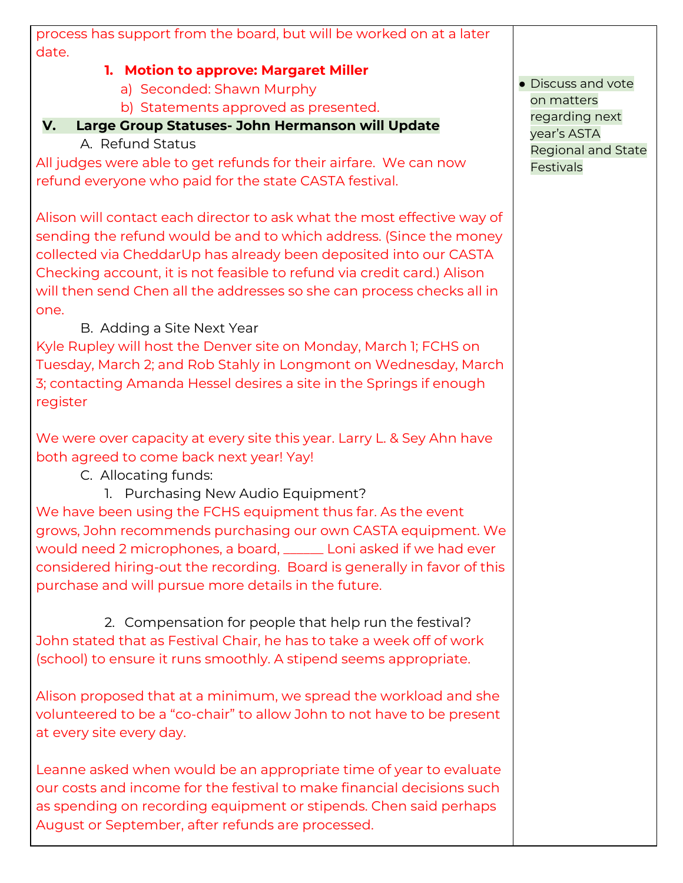| process has support from the board, but will be worked on at a later     |                                  |
|--------------------------------------------------------------------------|----------------------------------|
| date.                                                                    |                                  |
| 1. Motion to approve: Margaret Miller                                    |                                  |
| a) Seconded: Shawn Murphy                                                | · Discuss and vote<br>on matters |
| b) Statements approved as presented.                                     | regarding next                   |
| V.<br>Large Group Statuses- John Hermanson will Update                   | year's ASTA                      |
| A. Refund Status                                                         | <b>Regional and State</b>        |
| All judges were able to get refunds for their airfare. We can now        | Festivals                        |
| refund everyone who paid for the state CASTA festival.                   |                                  |
|                                                                          |                                  |
| Alison will contact each director to ask what the most effective way of  |                                  |
| sending the refund would be and to which address. (Since the money       |                                  |
| collected via CheddarUp has already been deposited into our CASTA        |                                  |
| Checking account, it is not feasible to refund via credit card.) Alison  |                                  |
| will then send Chen all the addresses so she can process checks all in   |                                  |
| one.                                                                     |                                  |
| B. Adding a Site Next Year                                               |                                  |
| Kyle Rupley will host the Denver site on Monday, March 1; FCHS on        |                                  |
| Tuesday, March 2; and Rob Stahly in Longmont on Wednesday, March         |                                  |
| 3; contacting Amanda Hessel desires a site in the Springs if enough      |                                  |
| register                                                                 |                                  |
|                                                                          |                                  |
| We were over capacity at every site this year. Larry L. & Sey Ahn have   |                                  |
| both agreed to come back next year! Yay!                                 |                                  |
| C. Allocating funds:                                                     |                                  |
| 1. Purchasing New Audio Equipment?                                       |                                  |
| We have been using the FCHS equipment thus far. As the event             |                                  |
| grows, John recommends purchasing our own CASTA equipment. We            |                                  |
| would need 2 microphones, a board, _______ Loni asked if we had ever     |                                  |
|                                                                          |                                  |
| considered hiring-out the recording. Board is generally in favor of this |                                  |
| purchase and will pursue more details in the future.                     |                                  |
| 2. Compensation for people that help run the festival?                   |                                  |
|                                                                          |                                  |
| John stated that as Festival Chair, he has to take a week off of work    |                                  |
| (school) to ensure it runs smoothly. A stipend seems appropriate.        |                                  |
| Alison proposed that at a minimum, we spread the workload and she        |                                  |
| volunteered to be a "co-chair" to allow John to not have to be present   |                                  |
| at every site every day.                                                 |                                  |
|                                                                          |                                  |
| Leanne asked when would be an appropriate time of year to evaluate       |                                  |
| our costs and income for the festival to make financial decisions such   |                                  |
|                                                                          |                                  |
| as spending on recording equipment or stipends. Chen said perhaps        |                                  |
| August or September, after refunds are processed.                        |                                  |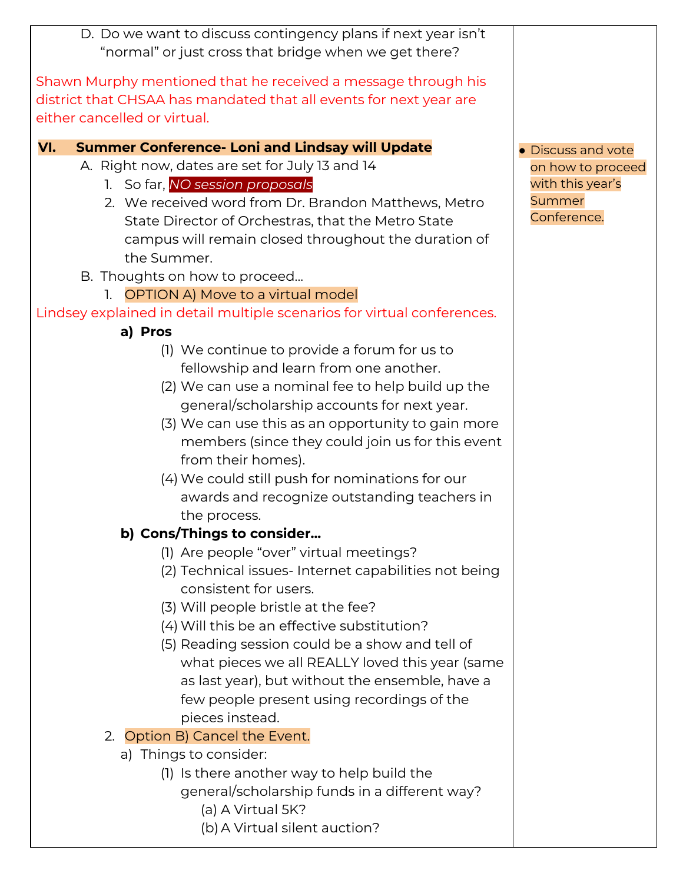| D. Do we want to discuss contingency plans if next year isn't                                                   |                                       |
|-----------------------------------------------------------------------------------------------------------------|---------------------------------------|
| "normal" or just cross that bridge when we get there?                                                           |                                       |
| Shawn Murphy mentioned that he received a message through his                                                   |                                       |
| district that CHSAA has mandated that all events for next year are                                              |                                       |
| either cancelled or virtual.                                                                                    |                                       |
|                                                                                                                 |                                       |
| VI.<br><b>Summer Conference- Loni and Lindsay will Update</b><br>A. Right now, dates are set for July 13 and 14 | • Discuss and vote                    |
| 1. So far, NO session proposals                                                                                 | on how to proceed<br>with this year's |
| 2. We received word from Dr. Brandon Matthews, Metro                                                            | Summer                                |
| State Director of Orchestras, that the Metro State                                                              | Conference.                           |
| campus will remain closed throughout the duration of                                                            |                                       |
| the Summer.                                                                                                     |                                       |
| B. Thoughts on how to proceed                                                                                   |                                       |
| 1. OPTION A) Move to a virtual model                                                                            |                                       |
| Lindsey explained in detail multiple scenarios for virtual conferences.                                         |                                       |
| a) Pros                                                                                                         |                                       |
| (1) We continue to provide a forum for us to                                                                    |                                       |
| fellowship and learn from one another.                                                                          |                                       |
| (2) We can use a nominal fee to help build up the                                                               |                                       |
| general/scholarship accounts for next year.                                                                     |                                       |
| (3) We can use this as an opportunity to gain more                                                              |                                       |
| members (since they could join us for this event                                                                |                                       |
| from their homes).                                                                                              |                                       |
| (4) We could still push for nominations for our                                                                 |                                       |
| awards and recognize outstanding teachers in                                                                    |                                       |
| the process.                                                                                                    |                                       |
| b) Cons/Things to consider                                                                                      |                                       |
| (1) Are people "over" virtual meetings?                                                                         |                                       |
| (2) Technical issues-Internet capabilities not being                                                            |                                       |
| consistent for users.                                                                                           |                                       |
| (3) Will people bristle at the fee?                                                                             |                                       |
| (4) Will this be an effective substitution?                                                                     |                                       |
| (5) Reading session could be a show and tell of                                                                 |                                       |
| what pieces we all REALLY loved this year (same                                                                 |                                       |
| as last year), but without the ensemble, have a                                                                 |                                       |
| few people present using recordings of the                                                                      |                                       |
| pieces instead.                                                                                                 |                                       |
| 2. Option B) Cancel the Event.                                                                                  |                                       |
| a) Things to consider:                                                                                          |                                       |
| (1) Is there another way to help build the                                                                      |                                       |
| general/scholarship funds in a different way?                                                                   |                                       |
| (a) A Virtual 5K?                                                                                               |                                       |
| (b) A Virtual silent auction?                                                                                   |                                       |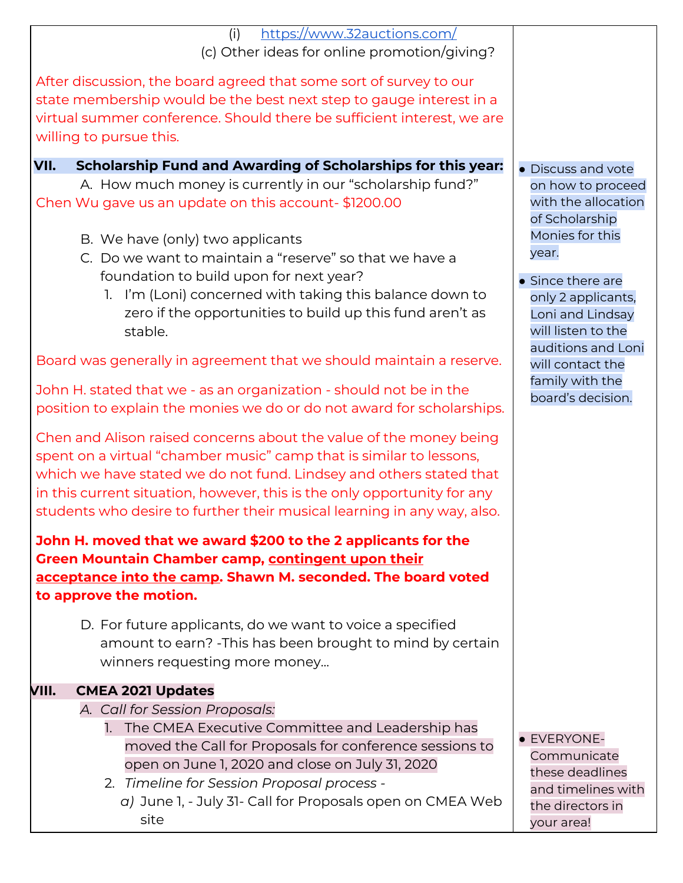| https://www.32auctions.com/<br>(i)                                       |                     |
|--------------------------------------------------------------------------|---------------------|
| (c) Other ideas for online promotion/giving?                             |                     |
| After discussion, the board agreed that some sort of survey to our       |                     |
| state membership would be the best next step to gauge interest in a      |                     |
| virtual summer conference. Should there be sufficient interest, we are   |                     |
| willing to pursue this.                                                  |                     |
|                                                                          |                     |
| Scholarship Fund and Awarding of Scholarships for this year:<br>VII.     | • Discuss and vote  |
| A. How much money is currently in our "scholarship fund?"                | on how to proceed   |
| Chen Wu gave us an update on this account-\$1200.00                      | with the allocation |
|                                                                          | of Scholarship      |
| B. We have (only) two applicants                                         | Monies for this     |
| C. Do we want to maintain a "reserve" so that we have a                  | year.               |
| foundation to build upon for next year?                                  | • Since there are   |
| 1. I'm (Loni) concerned with taking this balance down to                 | only 2 applicants,  |
| zero if the opportunities to build up this fund aren't as                | Loni and Lindsay    |
| stable.                                                                  | will listen to the  |
|                                                                          | auditions and Loni  |
| Board was generally in agreement that we should maintain a reserve.      | will contact the    |
|                                                                          | family with the     |
| John H. stated that we - as an organization - should not be in the       | board's decision.   |
| position to explain the monies we do or do not award for scholarships.   |                     |
| Chen and Alison raised concerns about the value of the money being       |                     |
| spent on a virtual "chamber music" camp that is similar to lessons,      |                     |
| which we have stated we do not fund. Lindsey and others stated that      |                     |
| in this current situation, however, this is the only opportunity for any |                     |
|                                                                          |                     |
| students who desire to further their musical learning in any way, also.  |                     |
| John H. moved that we award \$200 to the 2 applicants for the            |                     |
| Green Mountain Chamber camp, contingent upon their                       |                     |
| acceptance into the camp. Shawn M. seconded. The board voted             |                     |
| to approve the motion.                                                   |                     |
|                                                                          |                     |
| D. For future applicants, do we want to voice a specified                |                     |
| amount to earn? - This has been brought to mind by certain               |                     |
| winners requesting more money                                            |                     |
| <b>CMEA 2021 Updates</b><br>VIII.                                        |                     |
| A. Call for Session Proposals:                                           |                     |
| 1. The CMEA Executive Committee and Leadership has                       |                     |
| moved the Call for Proposals for conference sessions to                  | · EVERYONE-         |
| open on June 1, 2020 and close on July 31, 2020                          | Communicate         |
| 2. Timeline for Session Proposal process -                               | these deadlines     |
| $\alpha$ ) June I July 31 Call for Droposals open op CMEA Wob            | and timelines with  |

*a)* June 1, - July 31- Call for Proposals open on CMEA Web site

the directors in your area!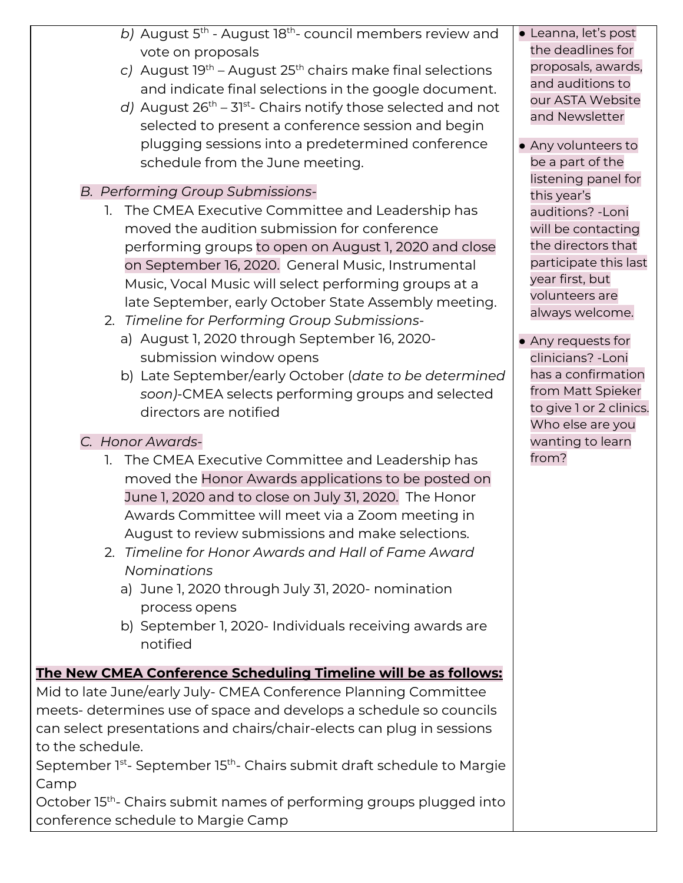- b) August 5<sup>th</sup> August 18<sup>th</sup>- council members review and vote on proposals
- c) August 19<sup>th</sup> August 25<sup>th</sup> chairs make final selections and indicate final selections in the google document.
- d) August 26<sup>th</sup> 31<sup>st</sup>- Chairs notify those selected and not selected to present a conference session and begin plugging sessions into a predetermined conference schedule from the June meeting.

### *B. Performing Group Submissions-*

- 1. The CMEA Executive Committee and Leadership has moved the audition submission for conference performing groups to open on August 1, 2020 and close on September 16, 2020. General Music, Instrumental Music, Vocal Music will select performing groups at a late September, early October State Assembly meeting.
- 2. *Timeline for Performing Group Submissions*
	- a) August 1, 2020 through September 16, 2020 submission window opens
	- b) Late September/early October (*date to be determined soon)-*CMEA selects performing groups and selected directors are notified

#### *C. Honor Awards-*

- 1. The CMEA Executive Committee and Leadership has moved the Honor Awards applications to be posted on June 1, 2020 and to close on July 31, 2020. The Honor Awards Committee will meet via a Zoom meeting in August to review submissions and make selections.
- 2. *Timeline for Honor Awards and Hall of Fame Award Nominations*
	- a) June 1, 2020 through July 31, 2020- nomination process opens
	- b) September 1, 2020- Individuals receiving awards are notified

## **The New CMEA Conference Scheduling Timeline will be as follows:**

Mid to late June/early July- CMEA Conference Planning Committee meets- determines use of space and develops a schedule so councils can select presentations and chairs/chair-elects can plug in sessions to the schedule.

September 1st- September 15<sup>th</sup>- Chairs submit draft schedule to Margie Camp

October 15<sup>th</sup>- Chairs submit names of performing groups plugged into conference schedule to Margie Camp

● Leanna, let's post the deadlines for proposals, awards, and auditions to our ASTA Website and Newsletter

- Any volunteers to be a part of the listening panel for this year's auditions? -Loni will be contacting the directors that participate this last year first, but volunteers are always welcome.
- Any requests for clinicians? -Loni has a confirmation from Matt Spieker to give 1 or 2 clinics. Who else are you wanting to learn from?